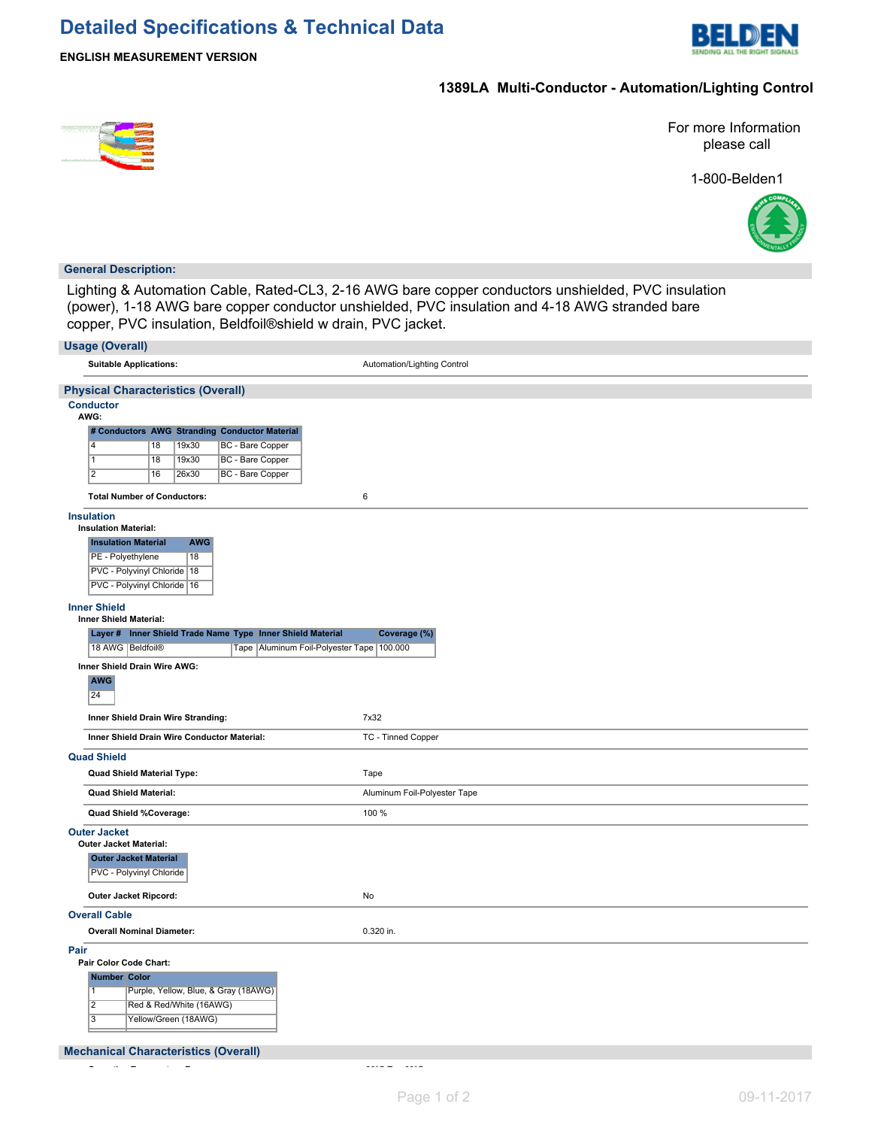# **Detailed Specifications & Technical Data**



## **1389LA Multi-Conductor - Automation/Lighting Control**



For more Information please call

1-800-Belden1



### **General Description:**

Lighting & Automation Cable, Rated-CL3, 2-16 AWG bare copper conductors unshielded, PVC insulation (power), 1-18 AWG bare copper conductor unshielded, PVC insulation and 4-18 AWG stranded bare copper, PVC insulation, Beldfoil®shield w drain, PVC jacket.

| <b>Usage (Overall)</b>                                                                                    |                              |
|-----------------------------------------------------------------------------------------------------------|------------------------------|
| <b>Suitable Applications:</b>                                                                             | Automation/Lighting Control  |
| <b>Physical Characteristics (Overall)</b>                                                                 |                              |
| <b>Conductor</b>                                                                                          |                              |
| AWG:                                                                                                      |                              |
| # Conductors AWG Stranding Conductor Material<br>$\overline{4}$<br>18<br>19x30<br><b>BC</b> - Bare Copper |                              |
| <b>BC</b> - Bare Copper<br>$\overline{1}$<br>18<br>19x30                                                  |                              |
| $\overline{2}$<br><b>BC</b> - Bare Copper<br>16<br>26x30                                                  |                              |
| <b>Total Number of Conductors:</b>                                                                        | $\,6\,$                      |
| <b>Insulation</b>                                                                                         |                              |
| <b>Insulation Material:</b>                                                                               |                              |
| <b>Insulation Material</b><br><b>AWG</b>                                                                  |                              |
| PE - Polyethylene<br>18                                                                                   |                              |
| PVC - Polyvinyl Chloride   18<br>PVC - Polyvinyl Chloride   16                                            |                              |
|                                                                                                           |                              |
| <b>Inner Shield</b><br>Inner Shield Material:                                                             |                              |
| Layer # Inner Shield Trade Name Type Inner Shield Material                                                | Coverage (%)                 |
| 18 AWG Beldfoil®<br>Tape   Aluminum Foil-Polyester Tape   100.000                                         |                              |
| Inner Shield Drain Wire AWG:                                                                              |                              |
| <b>AWG</b><br>24                                                                                          |                              |
| Inner Shield Drain Wire Stranding:                                                                        | 7x32                         |
| Inner Shield Drain Wire Conductor Material:                                                               | TC - Tinned Copper           |
| <b>Quad Shield</b>                                                                                        |                              |
| Quad Shield Material Type:                                                                                | Tape                         |
| <b>Quad Shield Material:</b>                                                                              | Aluminum Foil-Polyester Tape |
| Quad Shield %Coverage:                                                                                    | 100 %                        |
| <b>Outer Jacket</b>                                                                                       |                              |
| <b>Outer Jacket Material:</b><br><b>Outer Jacket Material</b>                                             |                              |
| PVC - Polyvinyl Chloride                                                                                  |                              |
| Outer Jacket Ripcord:                                                                                     | No                           |
| <b>Overall Cable</b>                                                                                      |                              |
| <b>Overall Nominal Diameter:</b>                                                                          | 0.320 in.                    |
| Pair<br>Pair Color Code Chart:                                                                            |                              |
| Number Color                                                                                              |                              |
| Purple, Yellow, Blue, & Gray (18AWG)<br>$\overline{1}$                                                    |                              |
| $\overline{2}$<br>Red & Red/White (16AWG)                                                                 |                              |
| $\overline{3}$<br>Yellow/Green (18AWG)                                                                    |                              |
| <b>Mechanical Characteristics (Overall)</b>                                                               |                              |